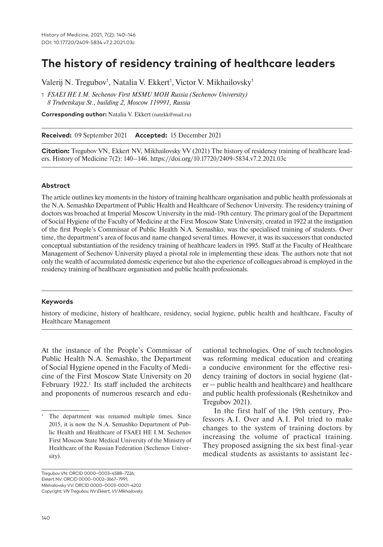# **The history of residency training of healthcare leaders**

Valerij N. Tregubov<sup>1</sup>, Natalia V. Ekkert<sup>1</sup>, Victor V. Mikhailovsky<sup>1</sup>

1 *FSAEI HE I.M. Sechenov First MSMU MOH Russia (Sechenov University) 8 Trubetskaya St., building 2, Moscow 119991, Russia*

**Corresponding author:** Natalia V. Ekkert (natekk@mail.ru)

**Received:** 09 September 2021 **Accepted:** 15 December 2021

**Citation:** Tregubov VN, Ekkert NV, Mikhailovsky VV (2021) The history of residency training of healthcare leaders. History of Medicine 7(2): 140–146. https://doi.org/10.17720/2409-5834.v7.2.2021.03c

#### **Abstract**

The article outlines key moments in the history of training healthcare organisation and public health professionals at the N.A. Semashko Department of Public Health and Healthcare of Sechenov University. The residency training of doctors was broached at Imperial Moscow University in the mid-19th century. The primary goal of the Department of Social Hygiene of the Faculty of Medicine at the First Moscow State University, created in 1922 at the instigation of the first People's Commissar of Public Health N.A. Semashko, was the specialised training of students. Over time, the department's area of focus and name changed several times. However, it was its successors that conducted conceptual substantiation of the residency training of healthcare leaders in 1995. Staff at the Faculty of Healthcare Management of Sechenov University played a pivotal role in implementing these ideas. The authors note that not only the wealth of accumulated domestic experience but also the experience of colleagues abroad is employed in the residency training of healthcare organisation and public health professionals.

#### **Keywords**

history of medicine, history of healthcare, residency, social hygiene, public health and healthcare, Faculty of Healthcare Management

At the instance of the People's Commissar of Public Health N.A. Semashko, the Department of Social Hygiene opened in the Faculty of Medicine of the First Moscow State University on 20 February 1922.<sup>1</sup> Its staff included the architects and proponents of numerous research and educational technologies. One of such technologies was reforming medical education and creating a conducive environment for the effective residency training of doctors in social hygiene (lat $er$  – public health and healthcare) and healthcare and public health professionals (Reshetnikov and Tregubov 2021).

In the first half of the 19th century, Professors A.I. Over and A.I. Pol tried to make changes to the system of training doctors by increasing the volume of practical training. They proposed assigning the six best final-year medical students as assistants to assistant lec-

Tregubov VN: ORCID 0000-0003-4588-7226; Ekkert NV: ORCID 0000-0002-3667-7991; Mikhailovsky VV: ORCID 0000-0003-0001-4202 Copyright: *VN Tregubov, NV Ekkert, VV Mikhailovsky.* 

The department was renamed multiple times. Since 2015, it is now the N.A. Semashko Department of Public Health and Healthcare of FSAEI HE I.M. Sechenov First Moscow State Medical University of the Ministry of Healthcare of the Russian Federation (Sechenov University).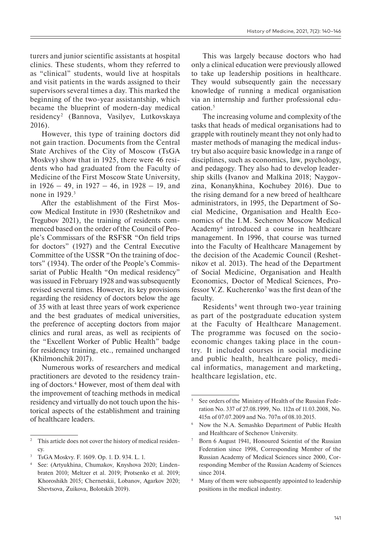turers and junior scientific assistants at hospital clinics. These students, whom they referred to as "clinical" students, would live at hospitals and visit patients in the wards assigned to their supervisors several times a day. This marked the beginning of the two-year assistantship, which became the blueprint of modern-day medical residency<sup>2</sup> (Bannova, Vasilyev, Lutkovskaya 2016).

However, this type of training doctors did not gain traction. Documents from the Central State Archives of the City of Moscow (TsGA Moskvy) show that in 1925, there were 46 residents who had graduated from the Faculty of Medicine of the First Moscow State University, in  $1926 - 49$ , in  $1927 - 46$ , in  $1928 - 19$ , and none in 1929.3

After the establishment of the First Moscow Medical Institute in 1930 (Reshetnikov and Tregubov 2021), the training of residents commenced based on the order of the Council of People's Commissars of the RSFSR "On field trips for doctors" (1927) and the Central Executive Committee of the USSR "On the training of doctors" (1934). The order of the People's Commissariat of Public Health "On medical residency" was issued in February 1928 and was subsequently revised several times. However, its key provisions regarding the residency of doctors below the age of 35 with at least three years of work experience and the best graduates of medical universities, the preference of accepting doctors from major clinics and rural areas, as well as recipients of the "Excellent Worker of Public Health" badge for residency training, etc., remained unchanged (Khilmonchik 2017).

Numerous works of researchers and medical practitioners are devoted to the residency training of doctors.4 However, most of them deal with the improvement of teaching methods in medical residency and virtually do not touch upon the historical aspects of the establishment and training of healthcare leaders.

This was largely because doctors who had only a clinical education were previously allowed to take up leadership positions in healthcare. They would subsequently gain the necessary knowledge of running a medical organisation via an internship and further professional education.5

The increasing volume and complexity of the tasks that heads of medical organisations had to grapple with routinely meant they not only had to master methods of managing the medical industry but also acquire basic knowledge in a range of disciplines, such as economics, law, psychology, and pedagogy. They also had to develop leadership skills (Ivanov and Malkina 2018; Naygovzina, Konanykhina, Kochubey 2016). Due to the rising demand for a new breed of healthcare administrators, in 1995, the Department of Social Medicine, Organisation and Health Economics of the I.M. Sechenov Moscow Medical Academy6 introduced a course in healthcare management. In 1996, that course was turned into the Faculty of Healthcare Management by the decision of the Academic Council (Reshetnikov et al. 2013). The head of the Department of Social Medicine, Organisation and Health Economics, Doctor of Medical Sciences, Professor V.Z. Kucherenko<sup>7</sup> was the first dean of the faculty.

Residents<sup>8</sup> went through two-year training as part of the postgraduate education system at the Faculty of Healthcare Management. The programme was focused on the socioeconomic changes taking place in the country. It included courses in social medicine and public health, healthcare policy, medical informatics, management and marketing, healthcare legislation, etc.

<sup>&</sup>lt;sup>2</sup> This article does not cover the history of medical residency.

<sup>3</sup> TsGA Moskvy. F. 1609. Op. 1. D. 934. L. 1.

<sup>4</sup> See: (Artyukhina, Chumakov, Knyshova 2020; Lindenbraten 2010; Meltzer et al. 2019; Protsenko et al. 2019; Khoroshikh 2015; Chernetskii, Lobanov, Agarkov 2020; Shevtsova, Zuikova, Bolotskih 2019).

<sup>5</sup> See orders of the Ministry of Health of the Russian Federation No. 337 of 27.08.1999, No. 112n of 11.03.2008, No. 415n of 07.07.2009 and No. 707n of 08.10.2015.

<sup>6</sup> Now the N.A. Semashko Department of Public Health and Healthcare of Sechenov University.

Born 6 August 1941, Honoured Scientist of the Russian Federation since 1998, Corresponding Member of the Russian Academy of Medical Sciences since 2000, Corresponding Member of the Russian Academy of Sciences since 2014.

<sup>&</sup>lt;sup>8</sup> Many of them were subsequently appointed to leadership positions in the medical industry.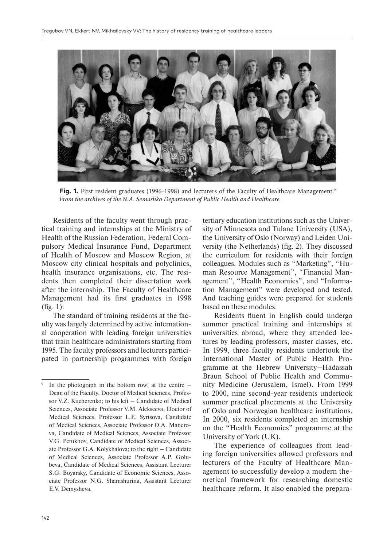

**Fig. 1.** First resident graduates (1996–1998) and lecturers of the Faculty of Healthcare Management.<sup>9</sup> *From the archives of the N.A. Semashko Department of Public Health and Healthcare.*

Residents of the faculty went through practical training and internships at the Ministry of Health of the Russian Federation, Federal Compulsory Medical Insurance Fund, Department of Health of Moscow and Moscow Region, at Moscow city clinical hospitals and polyclinics, health insurance organisations, etc. The residents then completed their dissertation work after the internship. The Faculty of Healthcare Management had its first graduates in 1998 (fig. 1).

The standard of training residents at the faculty was largely determined by active international cooperation with leading foreign universities that train healthcare administrators starting from 1995. The faculty professors and lecturers participated in partnership programmes with foreign

tertiary education institutions such as the University of Minnesota and Tulane University (USA), the University of Oslo (Norway) and Leiden University (the Netherlands) (fig. 2). They discussed the curriculum for residents with their foreign colleagues. Modules such as "Marketing", "Human Resource Management", "Financial Management", "Health Economics", and "Information Management" were developed and tested. And teaching guides were prepared for students based on these modules.

Residents fluent in English could undergo summer practical training and internships at universities abroad, where they attended lectures by leading professors, master classes, etc. In 1999, three faculty residents undertook the International Master of Public Health Programme at the Hebrew University–Hadassah Braun School of Public Health and Community Medicine (Jerusalem, Israel). From 1999 to 2000, nine second-year residents undertook summer practical placements at the University of Oslo and Norwegian healthcare institutions. In 2000, six residents completed an internship on the "Health Economics" programme at the University of York (UK).

The experience of colleagues from leading foreign universities allowed professors and lecturers of the Faculty of Healthcare Management to successfully develop a modern theoretical framework for researching domestic healthcare reform. It also enabled the prepara-

In the photograph in the bottom row: at the centre  $-$ Dean of the Faculty, Doctor of Medical Sciences, Professor V.Z. Kucherenko; to his left  $-$  Candidate of Medical Sciences, Associate Professor V.M. Alekseeva, Doctor of Medical Sciences, Professor L.E. Syrtsova, Candidate of Medical Sciences, Associate Professor O.A. Manerova, Candidate of Medical Sciences, Associate Professor V.G. Petukhov, Candidate of Medical Sciences, Associate Professor G.A. Kolykhalova; to the right – Candidate of Medical Sciences, Associate Professor A.P. Golubeva, Candidate of Medical Sciences, Assistant Lecturer S.G. Boyarsky, Candidate of Economic Sciences, Associate Professor N.G. Shamshurina, Assistant Lecturer E.V. Demysheva.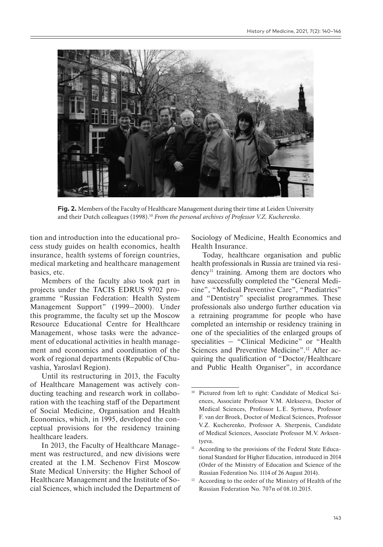

**Fig. 2.** Members of the Faculty of Healthcare Management during their time at Leiden University and their Dutch colleagues (1998).10 *From the personal archives of Professor V.Z. Kucherenko*.

tion and introduction into the educational process study guides on health economics, health insurance, health systems of foreign countries, medical marketing and healthcare management basics, etc.

Members of the faculty also took part in projects under the TACIS EDRUS 9702 programme "Russian Federation: Health System Management Support" (1999–2000). Under this programme, the faculty set up the Moscow Resource Educational Centre for Healthcare Management, whose tasks were the advancement of educational activities in health management and economics and coordination of the work of regional departments (Republic of Chuvashia, Yaroslavl Region).

Until its restructuring in 2013, the Faculty of Healthcare Management was actively conducting teaching and research work in collaboration with the teaching staff of the Department of Social Medicine, Organisation and Health Economics, which, in 1995, developed the conceptual provisions for the residency training healthcare leaders.

In 2013, the Faculty of Healthcare Management was restructured, and new divisions were created at the I.M. Sechenov First Moscow State Medical University: the Higher School of Healthcare Management and the Institute of Social Sciences, which included the Department of Sociology of Medicine, Health Economics and Health Insurance.

Today, healthcare organisation and public health professionals in Russia are trained via residency11 training. Among them are doctors who have successfully completed the "General Medicine", "Medical Preventive Care", "Paediatrics" and "Dentistry" specialist programmes. These professionals also undergo further education via a retraining programme for people who have completed an internship or residency training in one of the specialities of the enlarged groups of specialities – "Clinical Medicine" or "Health Sciences and Preventive Medicine".<sup>12</sup> After acquiring the qualification of "Doctor/Healthcare and Public Health Organiser", in accordance

<sup>&</sup>lt;sup>10</sup> Pictured from left to right: Candidate of Medical Sciences, Associate Professor V.M. Alekseeva, Doctor of Medical Sciences, Professor L.E. Syrtsova, Professor F. van der Broek, Doctor of Medical Sciences, Professor V.Z. Kucherenko, Professor A. Sherpenis, Candidate of Medical Sciences, Associate Professor M.V. Avksentyeva.

<sup>&</sup>lt;sup>11</sup> According to the provisions of the Federal State Educational Standard for Higher Education, introduced in 2014 (Order of the Ministry of Education and Science of the Russian Federation No. 1114 of 26 August 2014).

<sup>&</sup>lt;sup>12</sup> According to the order of the Ministry of Health of the Russian Federation No. 707n of 08.10.2015.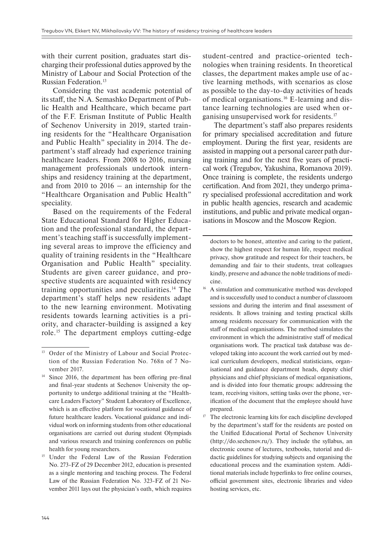with their current position, graduates start discharging their professional duties approved by the Ministry of Labour and Social Protection of the Russian Federation.<sup>13</sup>

Considering the vast academic potential of its staff, the N.A. Semashko Department of Public Health and Healthcare, which became part of the F.F. Erisman Institute of Public Health of Sechenov University in 2019, started training residents for the "Healthcare Organisation and Public Health" speciality in 2014. The department's staff already had experience training healthcare leaders. From 2008 to 2016, nursing management professionals undertook internships and residency training at the department, and from 2010 to  $2016 -$  an internship for the "Healthcare Organisation and Public Health" speciality.

Based on the requirements of the Federal State Educational Standard for Higher Education and the professional standard, the department's teaching staff is successfully implementing several areas to improve the efficiency and quality of training residents in the "Healthcare Organisation and Public Health" speciality. Students are given career guidance, and prospective students are acquainted with residency training opportunities and peculiarities.14 The department's staff helps new residents adapt to the new learning environment. Motivating residents towards learning activities is a priority, and character-building is assigned a key role.15 The department employs cutting-edge

student-centred and practice-oriented technologies when training residents. In theoretical classes, the department makes ample use of active learning methods, with scenarios as close as possible to the day-to-day activities of heads of medical organisations.16 E-learning and distance learning technologies are used when organising unsupervised work for residents.<sup>17</sup>

The department's staff also prepares residents for primary specialised accreditation and future employment. During the first year, residents are assisted in mapping out a personal career path during training and for the next five years of practical work (Tregubov, Yakushina, Romanova 2019). Once training is complete, the residents undergo certification. And from 2021, they undergo primary specialised professional accreditation and work in public health agencies, research and academic institutions, and public and private medical organisations in Moscow and the Moscow Region.

doctors to be honest, attentive and caring to the patient, show the highest respect for human life, respect medical privacy, show gratitude and respect for their teachers, be demanding and fair to their students, treat colleagues kindly, preserve and advance the noble traditions of medicine.

- <sup>16</sup> A simulation and communicative method was developed and is successfully used to conduct a number of classroom sessions and during the interim and final assessment of residents. It allows training and testing practical skills among residents necessary for communication with the staff of medical organisations. The method simulates the environment in which the administrative staff of medical organisations work. The practical task database was developed taking into account the work carried out by medical curriculum developers, medical statisticians, organisational and guidance department heads, deputy chief physicians and chief physicians of medical organisations, and is divided into four thematic groups: addressing the team, receiving visitors, setting tasks over the phone, verification of the document that the employeе should have prepared.
- $17$  The electronic learning kits for each discipline developed by the department's staff for the residents are posted on the Unified Educational Portal of Sechenov University (http://do.sechenov.ru/). They include the syllabus, an electronic course of lectures, textbooks, tutorial and didactic guidelines for studying subjects and organising the educational process and the examination system. Additional materials include hyperlinks to free online courses, official government sites, electronic libraries and video hosting services, etc.

<sup>&</sup>lt;sup>13</sup> Order of the Ministry of Labour and Social Protection of the Russian Federation No. 768n of 7 November 2017.

<sup>&</sup>lt;sup>14</sup> Since 2016, the department has been offering pre-final and final-year students at Sechenov University the opportunity to undergo additional training at the "Healthcare Leaders Factory" Student Laboratory of Excellence, which is an effective platform for vocational guidance of future healthcare leaders. Vocational guidance and individual work on informing students from other educational organisations are carried out during student Olympiads and various research and training conferences on public health for young researchers.

<sup>&</sup>lt;sup>15</sup> Under the Federal Law of the Russian Federation No. 273-FZ of 29 December 2012, education is presented as a single mentoring and teaching process. The Federal Law of the Russian Federation No. 323-FZ of 21 November 2011 lays out the physician's oath, which requires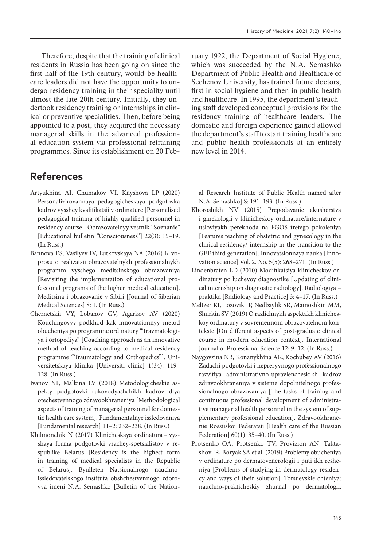Therefore, despite that the training of clinical residents in Russia has been going on since the first half of the 19th century, would-be healthcare leaders did not have the opportunity to undergo residency training in their speciality until almost the late 20th century. Initially, they undertook residency training or internships in clinical or preventive specialities. Then, before being appointed to a post, they acquired the necessary managerial skills in the advanced professional education system via professional retraining programmes. Since its establishment on 20 Feb-

### **References**

- Artyukhina AI, Chumakov VI, Knyshova LP (2020) Personalizirovannaya pedagogicheskaya podgotovka kadrov vysshey kvalifikatsii v ordinature [Personalised pedagogical training of highly qualified personnel in residency course]. Obrazovatelnyy vestnik "Soznanie" [Educational bulletin "Consciousness"] 22(3): 15–19. (In Russ.)
- Bannova ES, Vasilyev IV, Lutkovskaya NA (2016) K voprosu o realizatsii obrazovatelnykh professionalnykh programm vysshego meditsinskogo obrazovaniya [Revisiting the implementation of educational professional programs of the higher medical education]. Meditsina i obrazovanie v Sibiri [Journal of Siberian Medical Sciences] S: 1. (In Russ.)
- Chernetskii VY, Lobanov GV, Agarkov AV (2020) Kouchingovyy podkhod kak innovatsionnyy metod obucheniya po programme ordinatury "Travmatologiya i ortopediya" [Coaching approach as an innovative method of teaching according to medical residency programme "Traumatology and Orthopedics"]. Universitetskaya klinika [Universiti clinic] 1(34): 119– 128. (In Russ.)
- Ivanov NP, Malkina LV (2018) Metodologicheskie aspekty podgotovki rukovodyashchikh kadrov dlya otechestvennogo zdravookhraneniya [Methodological aspects of training of managerial personnel for domestic health care system]. Fundamentalnye issledovaniya [Fundamental research] 11–2: 232–238. (In Russ.)
- Khilmonchik N (2017) Klinicheskaya ordinatura vysshaya forma podgotovki vrachey-spetsialistov v respublike Belarus [Residency is the highest form in training of medical specialists in the Republic of Belarus]. Byulleten Natsionalnogo nauchnoissledovatelskogo instituta obshchestvennogo zdorovya imeni N.A. Semashko [Bulletin of the Nation-

ruary 1922, the Department of Social Hygiene, which was succeeded by the N.A. Semashko Department of Public Health and Healthcare of Sechenov University, has trained future doctors, first in social hygiene and then in public health and healthcare. In 1995, the department's teaching staff developed conceptual provisions for the residency training of healthcare leaders. The domestic and foreign experience gained allowed the department's staff to start training healthcare and public health professionals at an entirely new level in 2014.

al Research Institute of Public Health named after N.A. Semashko] S: 191–193. (In Russ.)

- Khoroshikh NV (2015) Prepodavanie akusherstva i ginekologii v klinicheskoy ordinature/internature v usloviyakh perekhoda na FGOS tretego pokoleniya [Features teaching of obstetric and gynecology in the clinical residency/ internship in the transition to the GEF third generation]. Innovatsionnaya nauka [Innovation science] Vol. 2. No. 5(5): 268–271. (In Russ.)
- Lindenbraten LD (2010) Modifikatsiya klinicheskoy ordinatury po luchevoy diagnostike [Updating of clinical internship on diagnostic radiology]. Radiologiya – praktika [Radiology and Practice] 3: 4–17. (In Russ.)
- Meltzer RI, Lozovik IP, Nedbaylik SR, Mamoshkin MM, Shurkin SV (2019) O razlichnykh aspektakh klinicheskoy ordinatury v sovremennom obrazovatelnom kontekste [On different aspects of post-graduate clinical course in modern education context]. International Journal of Professional Science 12: 9–12. (In Russ.)
- Naygovzina NB, Konanykhina AK, Kochubey AV (2016) Zadachi podgotovki i nepreryvnogo professionalnogo razvitiya administrativno-upravlencheskikh kadrov zdravookhraneniya v sisteme dopolnitelnogo professionalnogo obrazovaniya [The tasks of training and continuous professional development of administrative managerial health personnel in the system of supplementary professional education]. Zdravookhranenie Rossiiskoi Federatsii [Health care of the Russian Federation] 60(1): 35–40. (In Russ.)
- Protsenko OA, Protsenko TV, Provizion AN, Taktashov IR, Boryak SA et al. (2019) Problemy obucheniya v ordinature po dermatovenerologii i puti ikh resheniya [Problems of studying in dermatology residency and ways of their solution]. Torsuevskie chteniya: nauchno-prakticheskiy zhurnal po dermatologii,